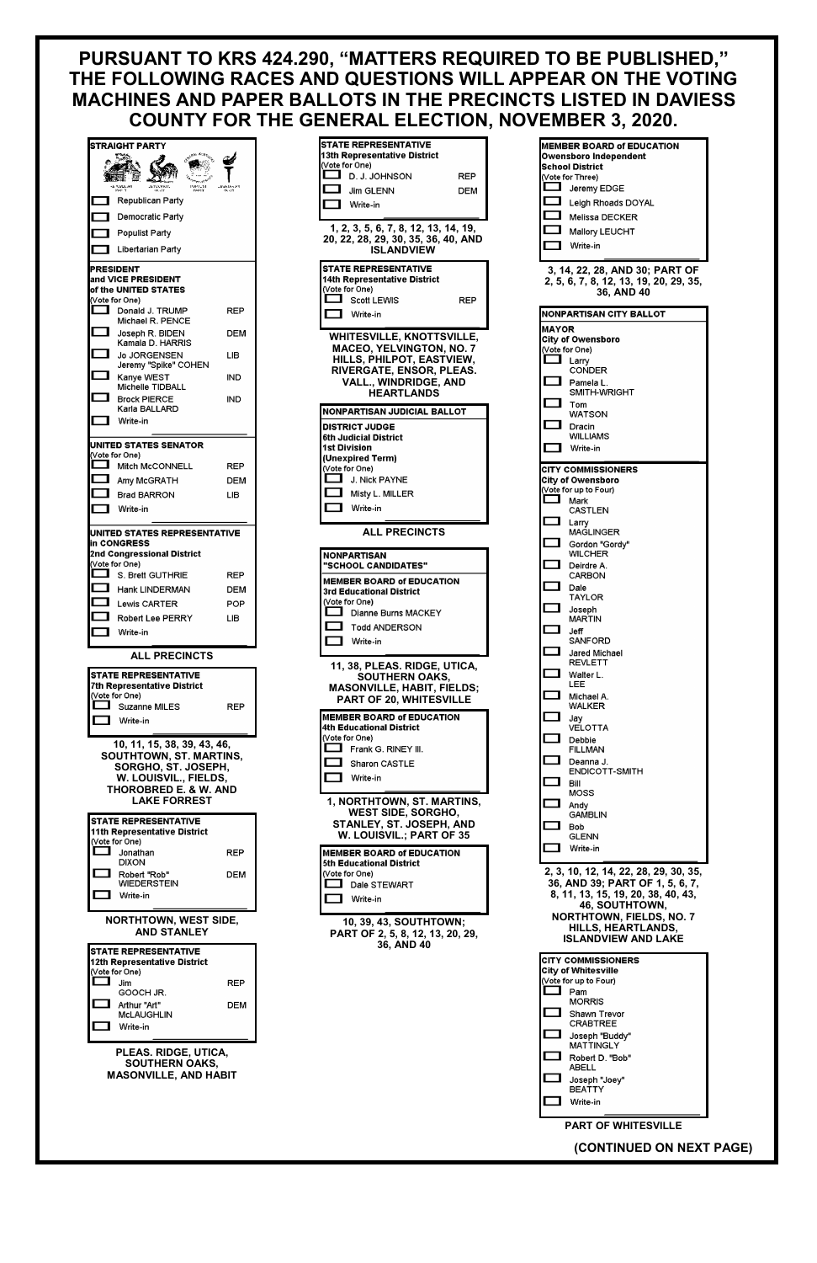## **PURSUANT TO KRS 424.290, "MATTERS REQUIRED TO BE PUBLISHED," THE FOLLOWING RACES AND QUESTIONS WILL APPEAR ON THE VOTING MACHINES AND PAPER BALLOTS IN THE PRECINCTS LISTED IN DAVIESS COUNTY FOR THE GENERAL ELECTION, NOVEMBER 3, 2020.**

|              | STRAIGHT PARTY                                                                                                                                                           |                          |
|--------------|--------------------------------------------------------------------------------------------------------------------------------------------------------------------------|--------------------------|
|              | <b>JEZOCRAIT.</b><br>HALLY<br>REDOAN<br>Part Y<br>PARTY                                                                                                                  | -HeklAsAN<br>PAUT        |
|              | Republican Party                                                                                                                                                         |                          |
|              | Democratic Party                                                                                                                                                         |                          |
|              | <b>Populist Party</b>                                                                                                                                                    |                          |
|              | Libertarian Party                                                                                                                                                        |                          |
|              | PRESIDENT<br>and VICE PRESIDENT<br>of the UNITED STATES                                                                                                                  |                          |
| $\mathbf{r}$ | (Vote for One)<br>Donald J. TRUMP                                                                                                                                        | REP                      |
|              | Michael R. PENCE<br>Joseph R. BIDEN                                                                                                                                      | DEM                      |
| ı            | Kamala D. HARRIS<br>Jo JORGENSEN                                                                                                                                         | LІB                      |
|              | Jeremy "Spike" COHEN                                                                                                                                                     |                          |
|              | Kanye WEST<br>Michelle TIDBALL                                                                                                                                           | IND                      |
|              | <b>Brock PIERCE</b><br>Karla BALLARD                                                                                                                                     | IND                      |
|              | Write-in                                                                                                                                                                 |                          |
|              | UNITED STATES SENATOR<br>(Vote for One)                                                                                                                                  |                          |
|              | Mitch McCONNELL                                                                                                                                                          | REP                      |
| ា            | Amy McGRATH                                                                                                                                                              | DEM                      |
|              | Brad BARRON                                                                                                                                                              | LІB                      |
| г            | Write-in                                                                                                                                                                 |                          |
|              | in CONGRESS                                                                                                                                                              |                          |
|              | 2nd Congressional District<br>(Vote for One)<br>$\blacksquare$ S. Brett GUTHRIE<br>Hank LINDERMAN<br>$\Box$ Lewis CARTER<br>Robert Lee PERRY                             | REP<br>DEM<br>POP<br>LІB |
|              | Write-in                                                                                                                                                                 |                          |
|              | <b>ALL PRECINCTS</b>                                                                                                                                                     |                          |
|              | <b>STATE REPRESENTATIVE</b><br>7th Representative District                                                                                                               |                          |
|              | (Vote for One)<br>Suzanne MILES                                                                                                                                          | REP                      |
|              | <b>■ Write-in</b>                                                                                                                                                        |                          |
|              | 10, 11, 15, 38, 39, 43, 46,<br><b>SOUTHTOWN, ST. MARTINS,</b><br>SORGHO, ST. JOSEPH,<br>W. LOUISVIL., FIELDS,<br><b>THOROBRED E. &amp; W. AND</b><br><b>LAKE FORREST</b> |                          |
|              | <b>STATE REPRESENTATIVE</b>                                                                                                                                              |                          |
|              | 11th Representative District<br>(Vote for One)                                                                                                                           |                          |
| ┓            | Jonathan<br>DIXON                                                                                                                                                        | REP                      |
|              | Robert "Rob"<br>WIEDERSTEIN                                                                                                                                              | DEM                      |
|              | Write-in                                                                                                                                                                 |                          |

| STATE REPRESENTATIVE                                                                                                                                                                                                                                        |     |
|-------------------------------------------------------------------------------------------------------------------------------------------------------------------------------------------------------------------------------------------------------------|-----|
| 13th Representative District                                                                                                                                                                                                                                |     |
| (Vote for One)                                                                                                                                                                                                                                              |     |
| L<br>D. J. JOHNSON                                                                                                                                                                                                                                          | REP |
|                                                                                                                                                                                                                                                             |     |
| Jim GLENN                                                                                                                                                                                                                                                   | DEM |
| Write-in                                                                                                                                                                                                                                                    |     |
|                                                                                                                                                                                                                                                             |     |
|                                                                                                                                                                                                                                                             |     |
| 1, 2, 3, 5, 6, 7, 8, 12, 13, 14, 19,<br>20, 22, 28, 29, 30, 35, 36, 40, AND                                                                                                                                                                                 |     |
|                                                                                                                                                                                                                                                             |     |
| <b>ISLANDVIEW</b>                                                                                                                                                                                                                                           |     |
|                                                                                                                                                                                                                                                             |     |
| <b>STATE REPRESENTATIVE</b>                                                                                                                                                                                                                                 |     |
| 14th Representative District                                                                                                                                                                                                                                |     |
| (Vote for One)                                                                                                                                                                                                                                              |     |
| ٦L.<br>Scott LEWIS                                                                                                                                                                                                                                          | REP |
| Write-in                                                                                                                                                                                                                                                    |     |
|                                                                                                                                                                                                                                                             |     |
|                                                                                                                                                                                                                                                             |     |
| <b>WHITESVILLE, KNOTTSVILLE,</b>                                                                                                                                                                                                                            |     |
| <b>MACEO, YELVINGTON, NO. 7</b>                                                                                                                                                                                                                             |     |
| HILLS, PHILPOT, EASTVIEW,                                                                                                                                                                                                                                   |     |
| RIVERGATE, ENSOR, PLEAS.                                                                                                                                                                                                                                    |     |
| <b>VALL., WINDRIDGE, AND</b>                                                                                                                                                                                                                                |     |
| HEARTLANDS                                                                                                                                                                                                                                                  |     |
|                                                                                                                                                                                                                                                             |     |
| <b>NONPARTISAN JUDICIAL BALLOT</b>                                                                                                                                                                                                                          |     |
|                                                                                                                                                                                                                                                             |     |
| <b>DISTRICT JUDGE</b>                                                                                                                                                                                                                                       |     |
| 6th Judicial District                                                                                                                                                                                                                                       |     |
| 1st Division                                                                                                                                                                                                                                                |     |
| (Unexpired Term)                                                                                                                                                                                                                                            |     |
| (Vote for One)                                                                                                                                                                                                                                              |     |
| J. Nick PAYNE                                                                                                                                                                                                                                               |     |
|                                                                                                                                                                                                                                                             |     |
| Misty L. MILLER                                                                                                                                                                                                                                             |     |
| Write-in                                                                                                                                                                                                                                                    |     |
|                                                                                                                                                                                                                                                             |     |
|                                                                                                                                                                                                                                                             |     |
|                                                                                                                                                                                                                                                             |     |
| <b>ALL PRECINCTS</b>                                                                                                                                                                                                                                        |     |
|                                                                                                                                                                                                                                                             |     |
| NONPARTISAN                                                                                                                                                                                                                                                 |     |
| "SCHOOL CANDIDATES"                                                                                                                                                                                                                                         |     |
|                                                                                                                                                                                                                                                             |     |
| MEMBER BOARD of EDUCATION                                                                                                                                                                                                                                   |     |
| 3rd Educational District                                                                                                                                                                                                                                    |     |
| (Vote for One)                                                                                                                                                                                                                                              |     |
| <b>The Contract of the Contract of the Contract of the Contract of the Contract of the Contract of the Contract of the Contract of the Contract of the Contract of the Contract of the Contract of the Contract of the Contract </b><br>Dianne Burns MACKEY |     |
| <b>Todd ANDERSON</b>                                                                                                                                                                                                                                        |     |
|                                                                                                                                                                                                                                                             |     |
| Write-in                                                                                                                                                                                                                                                    |     |
|                                                                                                                                                                                                                                                             |     |
|                                                                                                                                                                                                                                                             |     |
| 11, 38, PLEAS. RIDGE, UTICA,                                                                                                                                                                                                                                |     |
| SOUTHERN OAKS,                                                                                                                                                                                                                                              |     |
| MASONVILLE, HABIT, FIELDS;                                                                                                                                                                                                                                  |     |
| <b>PART OF 20, WHITESVILLE</b>                                                                                                                                                                                                                              |     |
|                                                                                                                                                                                                                                                             |     |
| <b>MEMBER BOARD of EDUCATION</b>                                                                                                                                                                                                                            |     |
| 4th Educational District                                                                                                                                                                                                                                    |     |
| (Vote for One)                                                                                                                                                                                                                                              |     |
| $\Box$ Frank G. RINEY III.                                                                                                                                                                                                                                  |     |
| <b>Sharon CASTLE</b>                                                                                                                                                                                                                                        |     |
|                                                                                                                                                                                                                                                             |     |
| Write-in                                                                                                                                                                                                                                                    |     |
|                                                                                                                                                                                                                                                             |     |
| 1, NORTHTOWN, ST. MARTINS,                                                                                                                                                                                                                                  |     |
|                                                                                                                                                                                                                                                             |     |
| <b>WEST SIDE, SORGHO,</b>                                                                                                                                                                                                                                   |     |
| STANLEY, ST. JOSEPH, AND                                                                                                                                                                                                                                    |     |
| W. LOUISVIL.; PART OF 35                                                                                                                                                                                                                                    |     |
|                                                                                                                                                                                                                                                             |     |
| <b>MEMBER BOARD of EDUCATION</b>                                                                                                                                                                                                                            |     |
| 5th Educational District                                                                                                                                                                                                                                    |     |
| (Vote for One)                                                                                                                                                                                                                                              |     |
| T.<br>Dale STEWART                                                                                                                                                                                                                                          |     |
| Write-in                                                                                                                                                                                                                                                    |     |
|                                                                                                                                                                                                                                                             |     |



|                 | MEMBER BOARD of EDUCATION<br>Owensboro Independent                                            |  |  |  |  |  |  |  |  |  |  |  |
|-----------------|-----------------------------------------------------------------------------------------------|--|--|--|--|--|--|--|--|--|--|--|
|                 | School District                                                                               |  |  |  |  |  |  |  |  |  |  |  |
|                 | (Vote for Three)<br>Jeremy EDGE                                                               |  |  |  |  |  |  |  |  |  |  |  |
| . .             | Leigh Rhoads DOYAL                                                                            |  |  |  |  |  |  |  |  |  |  |  |
|                 | Melissa DECKER                                                                                |  |  |  |  |  |  |  |  |  |  |  |
|                 | Mallory LEUCHT                                                                                |  |  |  |  |  |  |  |  |  |  |  |
|                 | Write-in                                                                                      |  |  |  |  |  |  |  |  |  |  |  |
|                 | 3, 14, 22, 28, AND 30; PART OF<br>2, 5, 6, 7, 8, 12, 13, 19, 20, 29, 35,<br><b>36, AND 40</b> |  |  |  |  |  |  |  |  |  |  |  |
|                 | <b>NONPARTISAN CITY BALLOT</b>                                                                |  |  |  |  |  |  |  |  |  |  |  |
| <b>MAYOR</b>    |                                                                                               |  |  |  |  |  |  |  |  |  |  |  |
|                 | City of Owensboro<br>(Vote for One)                                                           |  |  |  |  |  |  |  |  |  |  |  |
| $\mathcal{L}$   | Larry                                                                                         |  |  |  |  |  |  |  |  |  |  |  |
|                 | CONDER                                                                                        |  |  |  |  |  |  |  |  |  |  |  |
| . .             | Pamela L.<br>SMITH-WRIGHT                                                                     |  |  |  |  |  |  |  |  |  |  |  |
|                 | Tom<br><b>WATSON</b>                                                                          |  |  |  |  |  |  |  |  |  |  |  |
|                 | Dracin                                                                                        |  |  |  |  |  |  |  |  |  |  |  |
|                 | WILLIAMS<br>Write-in                                                                          |  |  |  |  |  |  |  |  |  |  |  |
|                 |                                                                                               |  |  |  |  |  |  |  |  |  |  |  |
|                 | CITY COMMISSIONERS<br>City of Owensboro                                                       |  |  |  |  |  |  |  |  |  |  |  |
|                 | (Vote for up to Four)                                                                         |  |  |  |  |  |  |  |  |  |  |  |
| <b>Contract</b> | Mark<br>CASTLEN                                                                               |  |  |  |  |  |  |  |  |  |  |  |
| ட               | Larry                                                                                         |  |  |  |  |  |  |  |  |  |  |  |
|                 | <b>MAGLINGER</b><br>Gordon "Gordy"                                                            |  |  |  |  |  |  |  |  |  |  |  |
|                 | WILCHER                                                                                       |  |  |  |  |  |  |  |  |  |  |  |
|                 | Deirdre A.<br>CARBON                                                                          |  |  |  |  |  |  |  |  |  |  |  |
|                 | Dale                                                                                          |  |  |  |  |  |  |  |  |  |  |  |
|                 | TAYLOR<br>Joseph                                                                              |  |  |  |  |  |  |  |  |  |  |  |
|                 | MARTIN                                                                                        |  |  |  |  |  |  |  |  |  |  |  |
|                 | Jeff<br>SANFORD                                                                               |  |  |  |  |  |  |  |  |  |  |  |
|                 | Jared Michael                                                                                 |  |  |  |  |  |  |  |  |  |  |  |
|                 | REVLETT                                                                                       |  |  |  |  |  |  |  |  |  |  |  |
|                 | Walter L.<br>LEE                                                                              |  |  |  |  |  |  |  |  |  |  |  |
|                 | Michael A.<br>WALKER                                                                          |  |  |  |  |  |  |  |  |  |  |  |
|                 | Jay                                                                                           |  |  |  |  |  |  |  |  |  |  |  |
|                 | VELOTTA                                                                                       |  |  |  |  |  |  |  |  |  |  |  |
|                 | Debbie<br>FILLMAN                                                                             |  |  |  |  |  |  |  |  |  |  |  |
|                 | Deanna J.<br>ENDICOTT-SMITH                                                                   |  |  |  |  |  |  |  |  |  |  |  |
|                 | Bill                                                                                          |  |  |  |  |  |  |  |  |  |  |  |
|                 | MOSS<br>Andy                                                                                  |  |  |  |  |  |  |  |  |  |  |  |
|                 | GAMBLIN                                                                                       |  |  |  |  |  |  |  |  |  |  |  |
|                 | Bob<br>GLENN                                                                                  |  |  |  |  |  |  |  |  |  |  |  |
|                 | Write-in                                                                                      |  |  |  |  |  |  |  |  |  |  |  |
|                 | 2, 3, 10, 12, 14, 22, 28, 29, 30, 35,                                                         |  |  |  |  |  |  |  |  |  |  |  |
|                 | 36, AND 39; PART OF 1, 5, 6, 7,                                                               |  |  |  |  |  |  |  |  |  |  |  |
|                 | 8, 11, 13, 15, 19, 20, 38, 40, 43,<br>46, SOUTHTOWN,                                          |  |  |  |  |  |  |  |  |  |  |  |
|                 | <b>NORTHTOWN, FIELDS, NO. 7</b><br>UILLE UEADTI ANNE                                          |  |  |  |  |  |  |  |  |  |  |  |